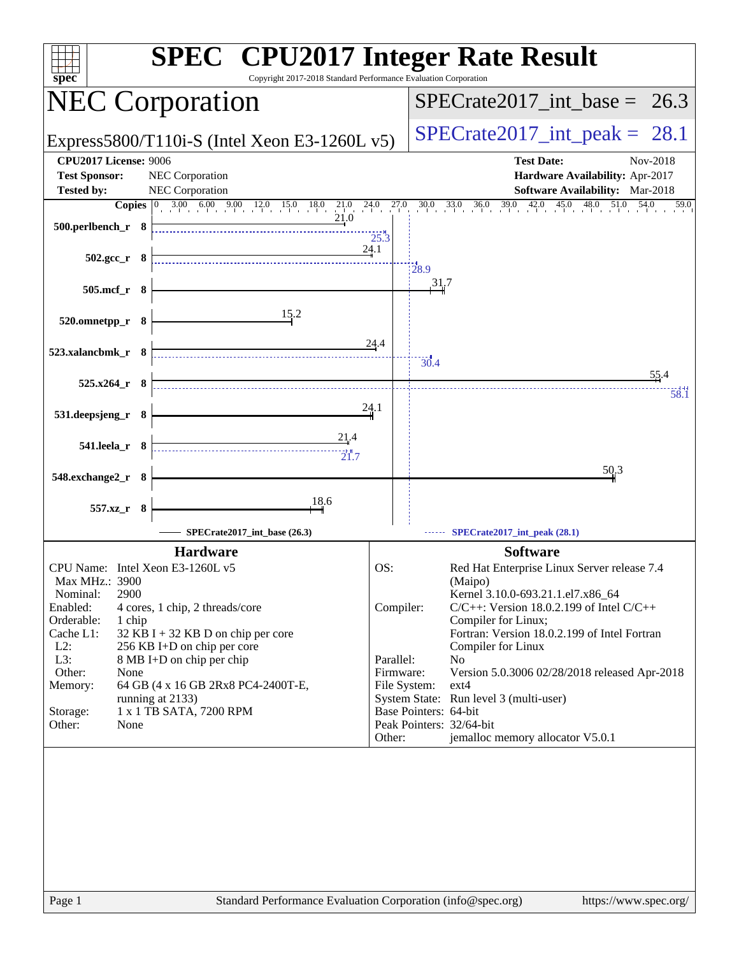| $spec^*$                         | <b>SPEC<sup>®</sup></b> CPU2017 Integer Rate Result<br>Copyright 2017-2018 Standard Performance Evaluation Corporation                                                                                                  |                        |                                  |                                                                                |
|----------------------------------|-------------------------------------------------------------------------------------------------------------------------------------------------------------------------------------------------------------------------|------------------------|----------------------------------|--------------------------------------------------------------------------------|
|                                  | <b>NEC Corporation</b>                                                                                                                                                                                                  |                        | $SPECTate2017\_int\_base = 26.3$ |                                                                                |
|                                  | Express5800/T110i-S (Intel Xeon E3-1260L $v5$ )                                                                                                                                                                         |                        | $SPECrate2017\_int\_peak = 28.1$ |                                                                                |
| <b>CPU2017 License: 9006</b>     |                                                                                                                                                                                                                         |                        |                                  | <b>Test Date:</b><br>Nov-2018                                                  |
| <b>Test Sponsor:</b>             | NEC Corporation                                                                                                                                                                                                         |                        |                                  | Hardware Availability: Apr-2017                                                |
| <b>Tested by:</b>                | NEC Corporation                                                                                                                                                                                                         |                        |                                  | Software Availability: Mar-2018                                                |
|                                  | <b>Copies</b> $\begin{bmatrix} 0 & 3.00 & 6.00 & 9.00 & 12.0 & 15.0 & 18.0 & 21.0 & 24.0 \\ 0 & 0 & 0 & 0 & 12.0 & 15.0 & 18.0 & 21.0 \\ 0 & 0 & 0 & 0 & 21.0 & 18.0 & 21.0 \\ 0 & 0 & 0 & 0 & 0 & 0 & 0 \end{bmatrix}$ | $^{27.0}$              |                                  | $30.0$ $33.0$ $36.0$ $39.0$ $42.0$ $4$<br>45.0<br>48.0<br>51.0<br>54.0<br>59.0 |
| 500.perlbench_r 8                |                                                                                                                                                                                                                         | 25.3                   |                                  |                                                                                |
|                                  |                                                                                                                                                                                                                         | 24.1                   |                                  |                                                                                |
| $502.\text{gcc r}$ 8             |                                                                                                                                                                                                                         |                        | 28.9                             |                                                                                |
| 505.mcf_r 8                      |                                                                                                                                                                                                                         |                        | 31.7                             |                                                                                |
|                                  |                                                                                                                                                                                                                         |                        |                                  |                                                                                |
| 520.omnetpp_r 8                  | 15.2                                                                                                                                                                                                                    |                        |                                  |                                                                                |
|                                  |                                                                                                                                                                                                                         |                        |                                  |                                                                                |
| 523.xalancbmk_r 8                |                                                                                                                                                                                                                         | 24.4                   |                                  |                                                                                |
|                                  |                                                                                                                                                                                                                         |                        | 30.4                             | 55.4                                                                           |
| $525.x264_r$ 8                   |                                                                                                                                                                                                                         |                        |                                  | 58.1                                                                           |
|                                  |                                                                                                                                                                                                                         | 24.1                   |                                  |                                                                                |
| 531.deepsjeng_r 8                |                                                                                                                                                                                                                         |                        |                                  |                                                                                |
| 541.leela_r 8                    | 21.4                                                                                                                                                                                                                    |                        |                                  |                                                                                |
|                                  | 21.7                                                                                                                                                                                                                    |                        |                                  |                                                                                |
| 548.exchange2_r 8                |                                                                                                                                                                                                                         |                        |                                  | 50.3                                                                           |
|                                  |                                                                                                                                                                                                                         |                        |                                  |                                                                                |
| 557.xz_r 8                       | 18,6                                                                                                                                                                                                                    |                        |                                  |                                                                                |
|                                  | SPECrate2017_int_base (26.3)                                                                                                                                                                                            |                        |                                  | SPECrate2017_int_peak (28.1)                                                   |
|                                  | <b>Hardware</b>                                                                                                                                                                                                         |                        |                                  | <b>Software</b>                                                                |
| CPU Name: Intel Xeon E3-1260L v5 |                                                                                                                                                                                                                         | OS:                    |                                  | Red Hat Enterprise Linux Server release 7.4                                    |
| Max MHz.: 3900                   |                                                                                                                                                                                                                         |                        |                                  | (Maipo)                                                                        |
| 2900<br>Nominal:                 |                                                                                                                                                                                                                         |                        |                                  | Kernel 3.10.0-693.21.1.el7.x86_64                                              |
| Enabled:<br>Orderable:<br>1 chip | 4 cores, 1 chip, 2 threads/core                                                                                                                                                                                         | Compiler:              |                                  | $C/C++$ : Version 18.0.2.199 of Intel $C/C++$<br>Compiler for Linux;           |
| Cache L1:                        | $32$ KB I + 32 KB D on chip per core                                                                                                                                                                                    |                        |                                  | Fortran: Version 18.0.2.199 of Intel Fortran                                   |
| $L2$ :                           | 256 KB I+D on chip per core                                                                                                                                                                                             |                        |                                  | Compiler for Linux                                                             |
| L3:<br>Other:<br>None            | 8 MB I+D on chip per chip                                                                                                                                                                                               | Parallel:<br>Firmware: |                                  | No<br>Version 5.0.3006 02/28/2018 released Apr-2018                            |
| Memory:                          | 64 GB (4 x 16 GB 2Rx8 PC4-2400T-E,                                                                                                                                                                                      |                        | File System:                     | $ext{4}$                                                                       |
|                                  | running at 2133)                                                                                                                                                                                                        |                        | Base Pointers: 64-bit            | System State: Run level 3 (multi-user)                                         |
| Storage:<br>Other:<br>None       | 1 x 1 TB SATA, 7200 RPM                                                                                                                                                                                                 |                        |                                  | Peak Pointers: 32/64-bit                                                       |
|                                  |                                                                                                                                                                                                                         | Other:                 |                                  | jemalloc memory allocator V5.0.1                                               |
|                                  |                                                                                                                                                                                                                         |                        |                                  |                                                                                |
| Page 1                           | Standard Performance Evaluation Corporation (info@spec.org)                                                                                                                                                             |                        |                                  | https://www.spec.org/                                                          |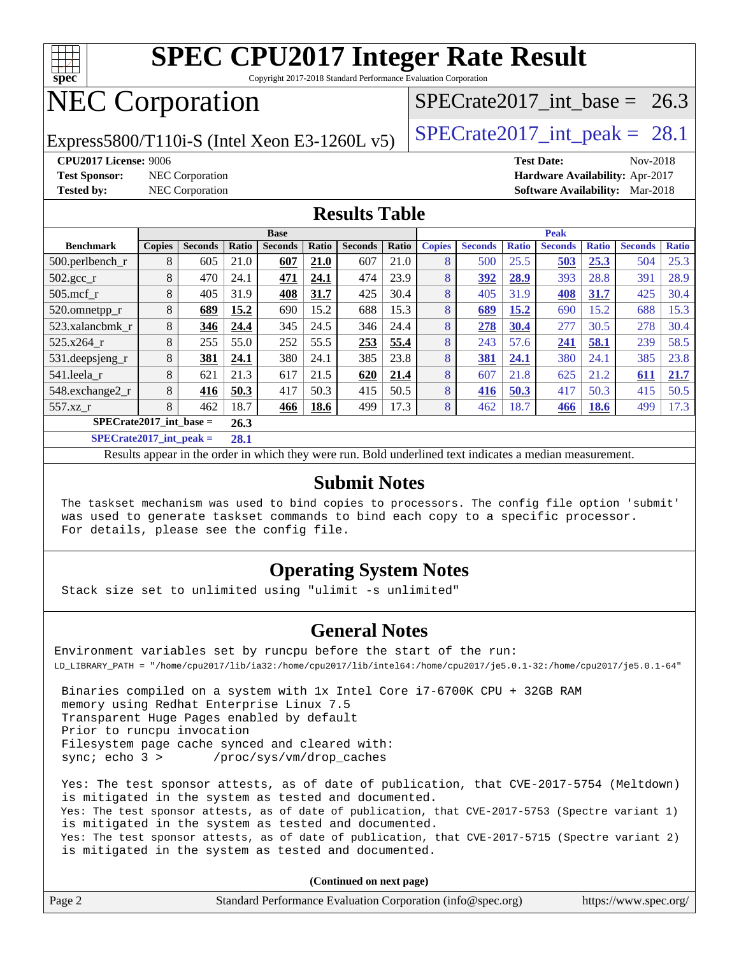

Copyright 2017-2018 Standard Performance Evaluation Corporation

# NEC Corporation

Express5800/T110i-S (Intel Xeon E3-1260L v5)  $\left|$  [SPECrate2017\\_int\\_peak =](http://www.spec.org/auto/cpu2017/Docs/result-fields.html#SPECrate2017intpeak) 28.1

SPECrate2017 int\_base =  $26.3$ 

**[CPU2017 License:](http://www.spec.org/auto/cpu2017/Docs/result-fields.html#CPU2017License)** 9006 **[Test Date:](http://www.spec.org/auto/cpu2017/Docs/result-fields.html#TestDate)** Nov-2018

**[Test Sponsor:](http://www.spec.org/auto/cpu2017/Docs/result-fields.html#TestSponsor)** NEC Corporation **[Hardware Availability:](http://www.spec.org/auto/cpu2017/Docs/result-fields.html#HardwareAvailability)** Apr-2017 **[Tested by:](http://www.spec.org/auto/cpu2017/Docs/result-fields.html#Testedby)** NEC Corporation **[Software Availability:](http://www.spec.org/auto/cpu2017/Docs/result-fields.html#SoftwareAvailability)** Mar-2018

#### **[Results Table](http://www.spec.org/auto/cpu2017/Docs/result-fields.html#ResultsTable)**

| <b>Base</b>                       |               |                |       |                |       |                | <b>Peak</b> |               |                |              |                |              |                |              |
|-----------------------------------|---------------|----------------|-------|----------------|-------|----------------|-------------|---------------|----------------|--------------|----------------|--------------|----------------|--------------|
| <b>Benchmark</b>                  | <b>Copies</b> | <b>Seconds</b> | Ratio | <b>Seconds</b> | Ratio | <b>Seconds</b> | Ratio       | <b>Copies</b> | <b>Seconds</b> | <b>Ratio</b> | <b>Seconds</b> | <b>Ratio</b> | <b>Seconds</b> | <b>Ratio</b> |
| 500.perlbench_r                   | 8             | 605            | 21.0  | 607            | 21.0  | 607            | 21.0        | 8             | 500            | 25.5         | 503            | 25.3         | 504            | 25.3         |
| 502.gcc_r                         | 8             | 470            | 24.1  | 471            | 24.1  | 474            | 23.9        | 8             | 392            | 28.9         | 393            | 28.8         | 391            | 28.9         |
| $505$ .mcf r                      | 8             | 405            | 31.9  | 408            | 31.7  | 425            | 30.4        | 8             | 405            | 31.9         | 408            | 31.7         | 425            | 30.4         |
| 520.omnetpp_r                     | 8             | 689            | 15.2  | 690            | 15.2  | 688            | 15.3        | 8             | 689            | 15.2         | 690            | 15.2         | 688            | 15.3         |
| 523.xalancbmk_r                   | 8             | 346            | 24.4  | 345            | 24.5  | 346            | 24.4        | 8             | 278            | 30.4         | 277            | 30.5         | 278            | 30.4         |
| 525.x264 r                        | 8             | 255            | 55.0  | 252            | 55.5  | 253            | 55.4        | 8             | 243            | 57.6         | 241            | 58.1         | 239            | 58.5         |
| 531.deepsjeng_r                   | 8             | 381            | 24.1  | 380            | 24.1  | 385            | 23.8        | 8             | 381            | 24.1         | 380            | 24.1         | 385            | 23.8         |
| 541.leela_r                       | 8             | 621            | 21.3  | 617            | 21.5  | 620            | 21.4        | 8             | 607            | 21.8         | 625            | 21.2         | 611            | 21.7         |
| 548.exchange2 r                   | 8             | 416            | 50.3  | 417            | 50.3  | 415            | 50.5        | 8             | 416            | 50.3         | 417            | 50.3         | 415            | 50.5         |
| 557.xz r                          | 8             | 462            | 18.7  | 466            | 18.6  | 499            | 17.3        | 8             | 462            | 18.7         | 466            | <b>18.6</b>  | 499            | 17.3         |
| $SPECrate2017$ int base =<br>26.3 |               |                |       |                |       |                |             |               |                |              |                |              |                |              |
|                                   |               |                | 20.4  |                |       |                |             |               |                |              |                |              |                |              |

**[SPECrate2017\\_int\\_peak =](http://www.spec.org/auto/cpu2017/Docs/result-fields.html#SPECrate2017intpeak) 28.1**

Results appear in the [order in which they were run](http://www.spec.org/auto/cpu2017/Docs/result-fields.html#RunOrder). Bold underlined text [indicates a median measurement](http://www.spec.org/auto/cpu2017/Docs/result-fields.html#Median).

#### **[Submit Notes](http://www.spec.org/auto/cpu2017/Docs/result-fields.html#SubmitNotes)**

 The taskset mechanism was used to bind copies to processors. The config file option 'submit' was used to generate taskset commands to bind each copy to a specific processor. For details, please see the config file.

### **[Operating System Notes](http://www.spec.org/auto/cpu2017/Docs/result-fields.html#OperatingSystemNotes)**

Stack size set to unlimited using "ulimit -s unlimited"

#### **[General Notes](http://www.spec.org/auto/cpu2017/Docs/result-fields.html#GeneralNotes)**

Environment variables set by runcpu before the start of the run: LD\_LIBRARY\_PATH = "/home/cpu2017/lib/ia32:/home/cpu2017/lib/intel64:/home/cpu2017/je5.0.1-32:/home/cpu2017/je5.0.1-64"

 Binaries compiled on a system with 1x Intel Core i7-6700K CPU + 32GB RAM memory using Redhat Enterprise Linux 7.5 Transparent Huge Pages enabled by default Prior to runcpu invocation Filesystem page cache synced and cleared with: sync; echo 3 > /proc/sys/vm/drop\_caches

 Yes: The test sponsor attests, as of date of publication, that CVE-2017-5754 (Meltdown) is mitigated in the system as tested and documented. Yes: The test sponsor attests, as of date of publication, that CVE-2017-5753 (Spectre variant 1) is mitigated in the system as tested and documented. Yes: The test sponsor attests, as of date of publication, that CVE-2017-5715 (Spectre variant 2) is mitigated in the system as tested and documented.

**(Continued on next page)**

| Page 2<br>Standard Performance Evaluation Corporation (info@spec.org)<br>https://www.spec.org/ |
|------------------------------------------------------------------------------------------------|
|------------------------------------------------------------------------------------------------|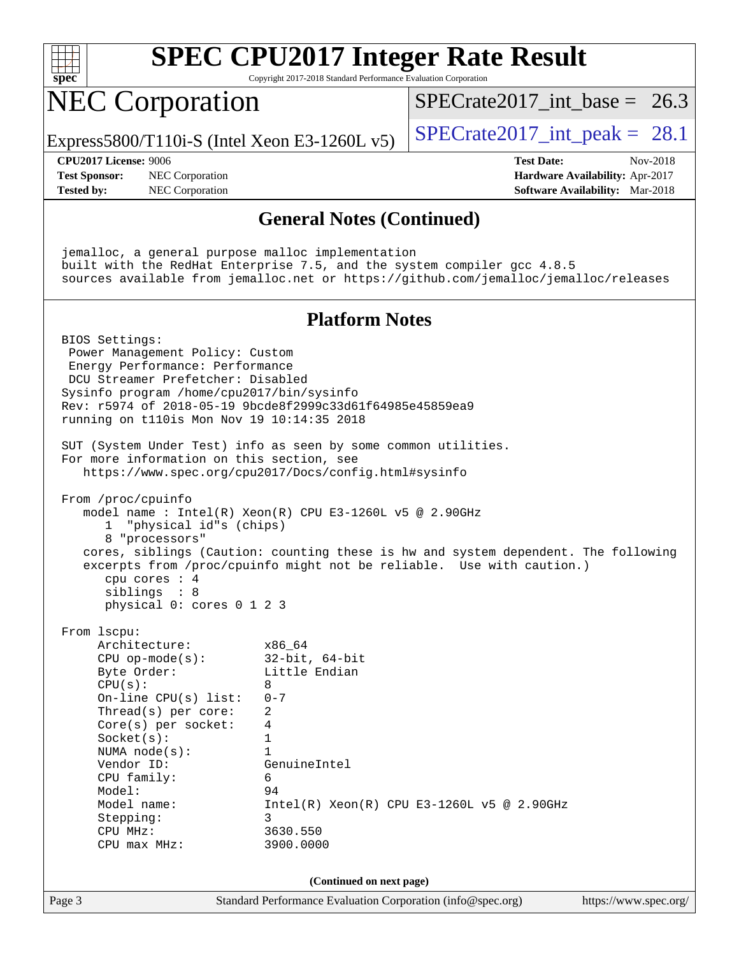

Copyright 2017-2018 Standard Performance Evaluation Corporation

## NEC Corporation

Express5800/T110i-S (Intel Xeon E3-1260L v5)  $\left|$  [SPECrate2017\\_int\\_peak =](http://www.spec.org/auto/cpu2017/Docs/result-fields.html#SPECrate2017intpeak) 28.1

SPECrate2017 int\_base =  $26.3$ 

**[Test Sponsor:](http://www.spec.org/auto/cpu2017/Docs/result-fields.html#TestSponsor)** NEC Corporation **[Hardware Availability:](http://www.spec.org/auto/cpu2017/Docs/result-fields.html#HardwareAvailability)** Apr-2017 **[Tested by:](http://www.spec.org/auto/cpu2017/Docs/result-fields.html#Testedby)** NEC Corporation **[Software Availability:](http://www.spec.org/auto/cpu2017/Docs/result-fields.html#SoftwareAvailability)** Mar-2018

**[CPU2017 License:](http://www.spec.org/auto/cpu2017/Docs/result-fields.html#CPU2017License)** 9006 **[Test Date:](http://www.spec.org/auto/cpu2017/Docs/result-fields.html#TestDate)** Nov-2018

#### **[General Notes \(Continued\)](http://www.spec.org/auto/cpu2017/Docs/result-fields.html#GeneralNotes)**

 jemalloc, a general purpose malloc implementation built with the RedHat Enterprise 7.5, and the system compiler gcc 4.8.5 sources available from jemalloc.net or <https://github.com/jemalloc/jemalloc/releases>

#### **[Platform Notes](http://www.spec.org/auto/cpu2017/Docs/result-fields.html#PlatformNotes)**

Page 3 Standard Performance Evaluation Corporation [\(info@spec.org\)](mailto:info@spec.org) <https://www.spec.org/> BIOS Settings: Power Management Policy: Custom Energy Performance: Performance DCU Streamer Prefetcher: Disabled Sysinfo program /home/cpu2017/bin/sysinfo Rev: r5974 of 2018-05-19 9bcde8f2999c33d61f64985e45859ea9 running on t110is Mon Nov 19 10:14:35 2018 SUT (System Under Test) info as seen by some common utilities. For more information on this section, see <https://www.spec.org/cpu2017/Docs/config.html#sysinfo> From /proc/cpuinfo model name : Intel(R) Xeon(R) CPU E3-1260L v5 @ 2.90GHz 1 "physical id"s (chips) 8 "processors" cores, siblings (Caution: counting these is hw and system dependent. The following excerpts from /proc/cpuinfo might not be reliable. Use with caution.) cpu cores : 4 siblings : 8 physical 0: cores 0 1 2 3 From lscpu: Architecture: x86\_64 CPU op-mode(s): 32-bit, 64-bit Byte Order: Little Endian  $CPU(s): 8$  On-line CPU(s) list: 0-7 Thread(s) per core: 2 Core(s) per socket: 4 Socket(s): 1 NUMA node(s): 1 Vendor ID: GenuineIntel CPU family: 6 Model: 94 Model name: Intel(R) Xeon(R) CPU E3-1260L v5 @ 2.90GHz Stepping: 3 CPU MHz: 3630.550 CPU max MHz: 3900.0000 **(Continued on next page)**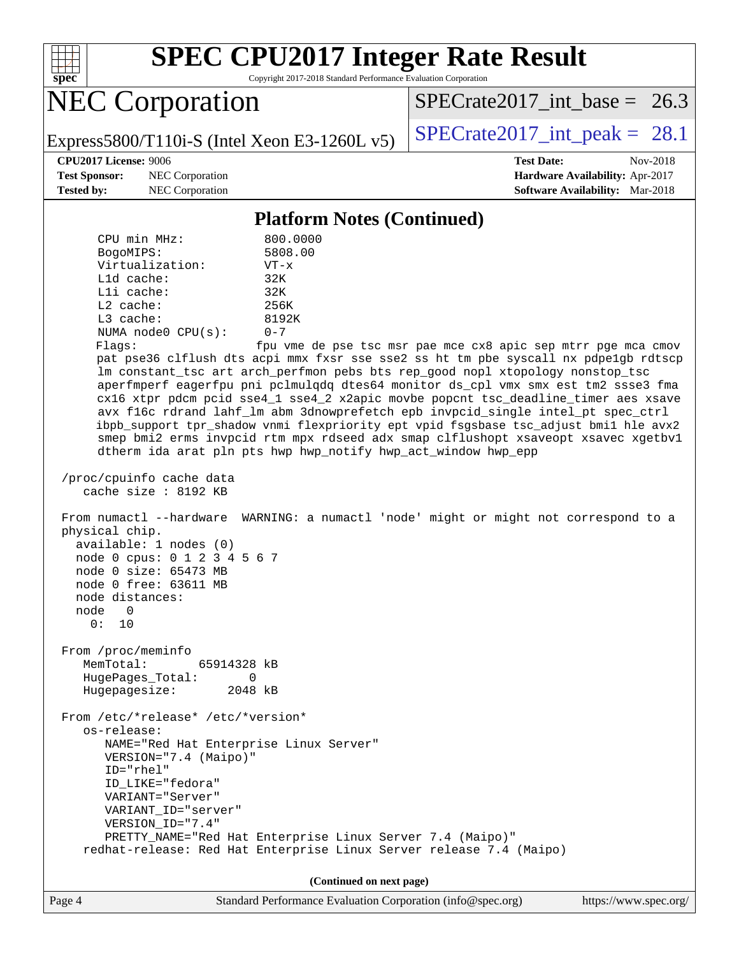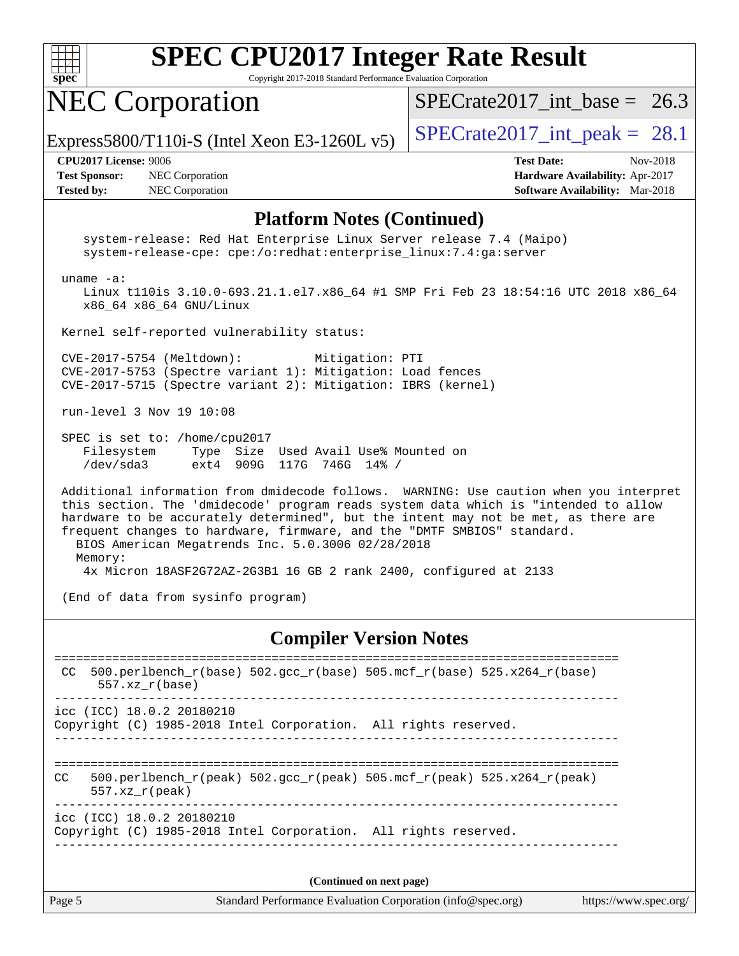

Copyright 2017-2018 Standard Performance Evaluation Corporation

### NEC Corporation

SPECrate2017 int\_base =  $26.3$ 

Express5800/T110i-S (Intel Xeon E3-1260L v5)  $\vert$  [SPECrate2017\\_int\\_peak =](http://www.spec.org/auto/cpu2017/Docs/result-fields.html#SPECrate2017intpeak) 28.1

**[Test Sponsor:](http://www.spec.org/auto/cpu2017/Docs/result-fields.html#TestSponsor)** NEC Corporation **[Hardware Availability:](http://www.spec.org/auto/cpu2017/Docs/result-fields.html#HardwareAvailability)** Apr-2017 **[Tested by:](http://www.spec.org/auto/cpu2017/Docs/result-fields.html#Testedby)** NEC Corporation **[Software Availability:](http://www.spec.org/auto/cpu2017/Docs/result-fields.html#SoftwareAvailability)** Mar-2018

**[CPU2017 License:](http://www.spec.org/auto/cpu2017/Docs/result-fields.html#CPU2017License)** 9006 **[Test Date:](http://www.spec.org/auto/cpu2017/Docs/result-fields.html#TestDate)** Nov-2018

#### **[Platform Notes \(Continued\)](http://www.spec.org/auto/cpu2017/Docs/result-fields.html#PlatformNotes)**

 system-release: Red Hat Enterprise Linux Server release 7.4 (Maipo) system-release-cpe: cpe:/o:redhat:enterprise\_linux:7.4:ga:server uname -a: Linux t110is 3.10.0-693.21.1.el7.x86\_64 #1 SMP Fri Feb 23 18:54:16 UTC 2018 x86\_64 x86\_64 x86\_64 GNU/Linux Kernel self-reported vulnerability status: CVE-2017-5754 (Meltdown): Mitigation: PTI CVE-2017-5753 (Spectre variant 1): Mitigation: Load fences CVE-2017-5715 (Spectre variant 2): Mitigation: IBRS (kernel) run-level 3 Nov 19 10:08 SPEC is set to: /home/cpu2017 Filesystem Type Size Used Avail Use% Mounted on /dev/sda3 ext4 909G 117G 746G 14% / Additional information from dmidecode follows. WARNING: Use caution when you interpret this section. The 'dmidecode' program reads system data which is "intended to allow hardware to be accurately determined", but the intent may not be met, as there are frequent changes to hardware, firmware, and the "DMTF SMBIOS" standard. BIOS American Megatrends Inc. 5.0.3006 02/28/2018 Memory: 4x Micron 18ASF2G72AZ-2G3B1 16 GB 2 rank 2400, configured at 2133 (End of data from sysinfo program)

#### **[Compiler Version Notes](http://www.spec.org/auto/cpu2017/Docs/result-fields.html#CompilerVersionNotes)**

| CC  | $500. perlbench_r(base) 502. gcc_r(base) 505. mcf_r(base) 525. x264_r(base)$<br>$557.xx$ $r(base)$                                          |                              |
|-----|---------------------------------------------------------------------------------------------------------------------------------------------|------------------------------|
|     | $\text{icc}$ (ICC) 18.0.2 20180210<br>Copyright (C) 1985-2018 Intel Corporation. All rights reserved.<br>---------------------------------- |                              |
| CC. | 500.perlbench $r(\text{peak})$ 502.gcc $r(\text{peak})$ 505.mcf $r(\text{peak})$ 525.x264 $r(\text{peak})$<br>$557.xx$ r(peak)              | ____________________________ |
|     | icc (ICC) 18.0.2 20180210<br>Copyright (C) 1985-2018 Intel Corporation. All rights reserved.                                                |                              |
|     |                                                                                                                                             |                              |

**(Continued on next page)**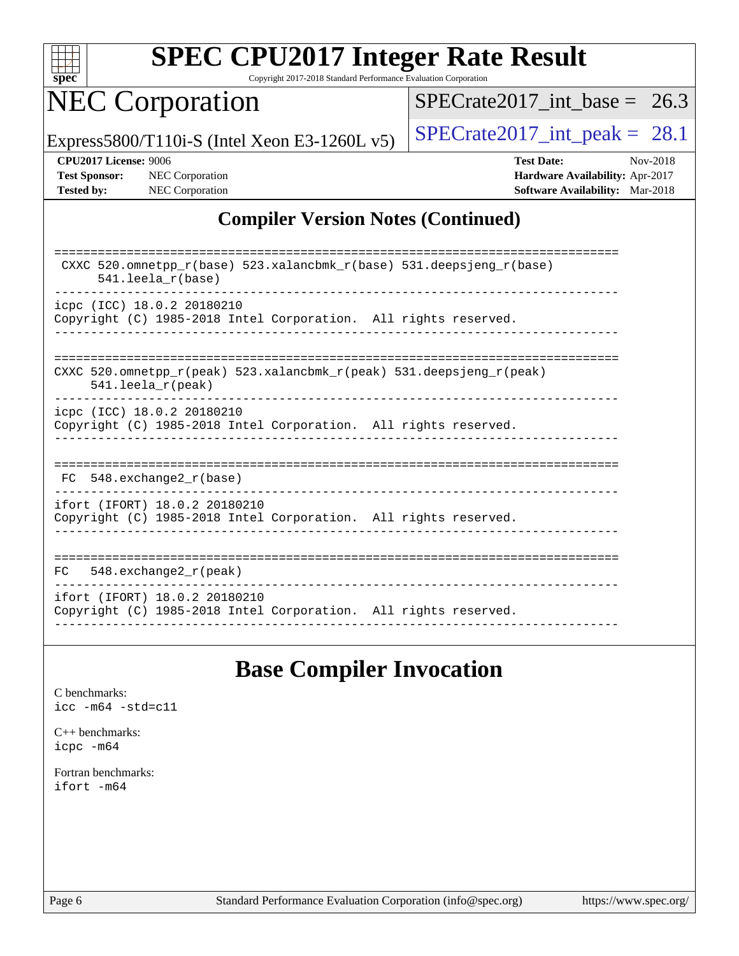

Copyright 2017-2018 Standard Performance Evaluation Corporation

# NEC Corporation

 $SPECrate2017\_int\_base = 26.3$ 

Express5800/T110i-S (Intel Xeon E3-1260L v5)  $\left|$  [SPECrate2017\\_int\\_peak =](http://www.spec.org/auto/cpu2017/Docs/result-fields.html#SPECrate2017intpeak) 28.1

**[CPU2017 License:](http://www.spec.org/auto/cpu2017/Docs/result-fields.html#CPU2017License)** 9006 **[Test Date:](http://www.spec.org/auto/cpu2017/Docs/result-fields.html#TestDate)** Nov-2018 **[Test Sponsor:](http://www.spec.org/auto/cpu2017/Docs/result-fields.html#TestSponsor)** NEC Corporation **[Hardware Availability:](http://www.spec.org/auto/cpu2017/Docs/result-fields.html#HardwareAvailability)** Apr-2017 **[Tested by:](http://www.spec.org/auto/cpu2017/Docs/result-fields.html#Testedby)** NEC Corporation **[Software Availability:](http://www.spec.org/auto/cpu2017/Docs/result-fields.html#SoftwareAvailability)** Mar-2018

#### **[Compiler Version Notes \(Continued\)](http://www.spec.org/auto/cpu2017/Docs/result-fields.html#CompilerVersionNotes)**

| CXXC 520.omnetpp $r(base)$ 523.xalancbmk $r(base)$ 531.deepsjeng $r(base)$<br>$541.$ leela $r(base)$                       |
|----------------------------------------------------------------------------------------------------------------------------|
| icpc (ICC) 18.0.2 20180210                                                                                                 |
| Copyright (C) 1985-2018 Intel Corporation. All rights reserved.                                                            |
|                                                                                                                            |
|                                                                                                                            |
|                                                                                                                            |
| CXXC 520.omnetpp $r(\text{peak})$ 523.xalancbmk $r(\text{peak})$ 531.deepsjeng $r(\text{peak})$<br>$541.$ leela $r$ (peak) |
| icpc (ICC) 18.0.2 20180210                                                                                                 |
| Copyright (C) 1985-2018 Intel Corporation. All rights reserved.                                                            |
|                                                                                                                            |
|                                                                                                                            |
|                                                                                                                            |
| 548.exchange2 r(base)<br>FC.                                                                                               |
| ifort (IFORT) 18.0.2 20180210                                                                                              |
| Copyright (C) 1985-2018 Intel Corporation. All rights reserved.                                                            |
|                                                                                                                            |
|                                                                                                                            |
|                                                                                                                            |
| 548.exchange2 r(peak)<br>FC.                                                                                               |
| ifort (IFORT) 18.0.2 20180210                                                                                              |
| Copyright (C) 1985-2018 Intel Corporation. All rights reserved.                                                            |
|                                                                                                                            |

### **[Base Compiler Invocation](http://www.spec.org/auto/cpu2017/Docs/result-fields.html#BaseCompilerInvocation)**

[C benchmarks](http://www.spec.org/auto/cpu2017/Docs/result-fields.html#Cbenchmarks): [icc -m64 -std=c11](http://www.spec.org/cpu2017/results/res2018q4/cpu2017-20181126-09868.flags.html#user_CCbase_intel_icc_64bit_c11_33ee0cdaae7deeeab2a9725423ba97205ce30f63b9926c2519791662299b76a0318f32ddfffdc46587804de3178b4f9328c46fa7c2b0cd779d7a61945c91cd35)

[C++ benchmarks:](http://www.spec.org/auto/cpu2017/Docs/result-fields.html#CXXbenchmarks) [icpc -m64](http://www.spec.org/cpu2017/results/res2018q4/cpu2017-20181126-09868.flags.html#user_CXXbase_intel_icpc_64bit_4ecb2543ae3f1412ef961e0650ca070fec7b7afdcd6ed48761b84423119d1bf6bdf5cad15b44d48e7256388bc77273b966e5eb805aefd121eb22e9299b2ec9d9)

[Fortran benchmarks](http://www.spec.org/auto/cpu2017/Docs/result-fields.html#Fortranbenchmarks): [ifort -m64](http://www.spec.org/cpu2017/results/res2018q4/cpu2017-20181126-09868.flags.html#user_FCbase_intel_ifort_64bit_24f2bb282fbaeffd6157abe4f878425411749daecae9a33200eee2bee2fe76f3b89351d69a8130dd5949958ce389cf37ff59a95e7a40d588e8d3a57e0c3fd751)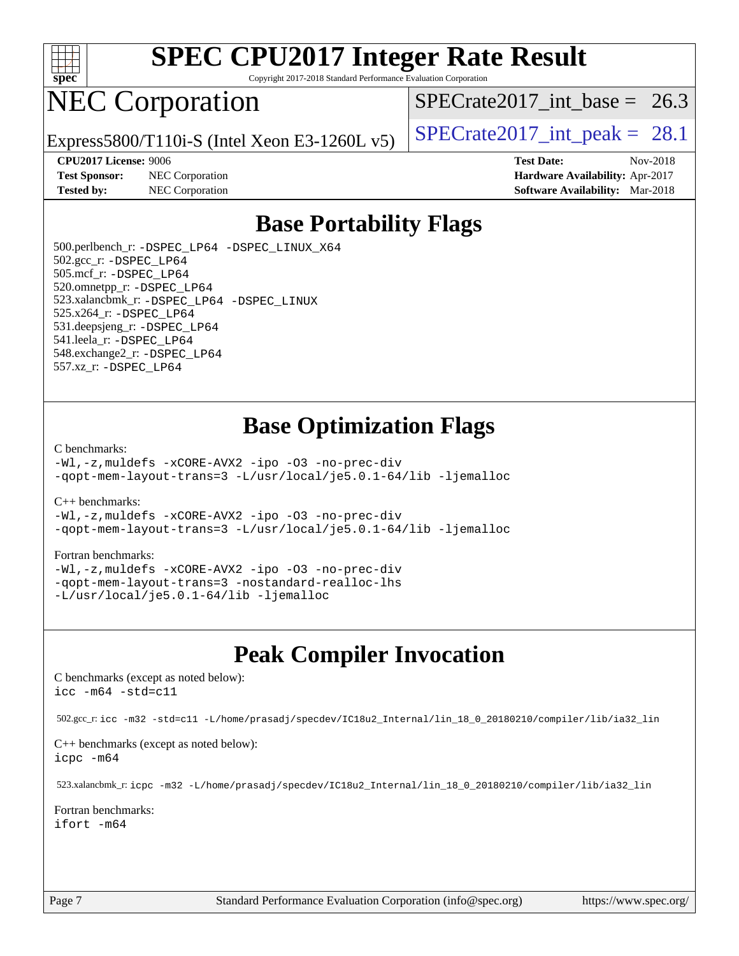

Copyright 2017-2018 Standard Performance Evaluation Corporation

## NEC Corporation

SPECrate2017 int\_base =  $26.3$ 

Express5800/T110i-S (Intel Xeon E3-1260L v5)  $\left|$  [SPECrate2017\\_int\\_peak =](http://www.spec.org/auto/cpu2017/Docs/result-fields.html#SPECrate2017intpeak) 28.1

**[Test Sponsor:](http://www.spec.org/auto/cpu2017/Docs/result-fields.html#TestSponsor)** NEC Corporation **[Hardware Availability:](http://www.spec.org/auto/cpu2017/Docs/result-fields.html#HardwareAvailability)** Apr-2017

**[CPU2017 License:](http://www.spec.org/auto/cpu2017/Docs/result-fields.html#CPU2017License)** 9006 **[Test Date:](http://www.spec.org/auto/cpu2017/Docs/result-fields.html#TestDate)** Nov-2018 **[Tested by:](http://www.spec.org/auto/cpu2017/Docs/result-fields.html#Testedby)** NEC Corporation **[Software Availability:](http://www.spec.org/auto/cpu2017/Docs/result-fields.html#SoftwareAvailability)** Mar-2018

### **[Base Portability Flags](http://www.spec.org/auto/cpu2017/Docs/result-fields.html#BasePortabilityFlags)**

 500.perlbench\_r: [-DSPEC\\_LP64](http://www.spec.org/cpu2017/results/res2018q4/cpu2017-20181126-09868.flags.html#b500.perlbench_r_basePORTABILITY_DSPEC_LP64) [-DSPEC\\_LINUX\\_X64](http://www.spec.org/cpu2017/results/res2018q4/cpu2017-20181126-09868.flags.html#b500.perlbench_r_baseCPORTABILITY_DSPEC_LINUX_X64) 502.gcc\_r: [-DSPEC\\_LP64](http://www.spec.org/cpu2017/results/res2018q4/cpu2017-20181126-09868.flags.html#suite_basePORTABILITY502_gcc_r_DSPEC_LP64) 505.mcf\_r: [-DSPEC\\_LP64](http://www.spec.org/cpu2017/results/res2018q4/cpu2017-20181126-09868.flags.html#suite_basePORTABILITY505_mcf_r_DSPEC_LP64) 520.omnetpp\_r: [-DSPEC\\_LP64](http://www.spec.org/cpu2017/results/res2018q4/cpu2017-20181126-09868.flags.html#suite_basePORTABILITY520_omnetpp_r_DSPEC_LP64) 523.xalancbmk\_r: [-DSPEC\\_LP64](http://www.spec.org/cpu2017/results/res2018q4/cpu2017-20181126-09868.flags.html#suite_basePORTABILITY523_xalancbmk_r_DSPEC_LP64) [-DSPEC\\_LINUX](http://www.spec.org/cpu2017/results/res2018q4/cpu2017-20181126-09868.flags.html#b523.xalancbmk_r_baseCXXPORTABILITY_DSPEC_LINUX) 525.x264\_r: [-DSPEC\\_LP64](http://www.spec.org/cpu2017/results/res2018q4/cpu2017-20181126-09868.flags.html#suite_basePORTABILITY525_x264_r_DSPEC_LP64) 531.deepsjeng\_r: [-DSPEC\\_LP64](http://www.spec.org/cpu2017/results/res2018q4/cpu2017-20181126-09868.flags.html#suite_basePORTABILITY531_deepsjeng_r_DSPEC_LP64) 541.leela\_r: [-DSPEC\\_LP64](http://www.spec.org/cpu2017/results/res2018q4/cpu2017-20181126-09868.flags.html#suite_basePORTABILITY541_leela_r_DSPEC_LP64) 548.exchange2\_r: [-DSPEC\\_LP64](http://www.spec.org/cpu2017/results/res2018q4/cpu2017-20181126-09868.flags.html#suite_basePORTABILITY548_exchange2_r_DSPEC_LP64) 557.xz\_r: [-DSPEC\\_LP64](http://www.spec.org/cpu2017/results/res2018q4/cpu2017-20181126-09868.flags.html#suite_basePORTABILITY557_xz_r_DSPEC_LP64)

### **[Base Optimization Flags](http://www.spec.org/auto/cpu2017/Docs/result-fields.html#BaseOptimizationFlags)**

#### [C benchmarks](http://www.spec.org/auto/cpu2017/Docs/result-fields.html#Cbenchmarks):

[-Wl,-z,muldefs](http://www.spec.org/cpu2017/results/res2018q4/cpu2017-20181126-09868.flags.html#user_CCbase_link_force_multiple1_b4cbdb97b34bdee9ceefcfe54f4c8ea74255f0b02a4b23e853cdb0e18eb4525ac79b5a88067c842dd0ee6996c24547a27a4b99331201badda8798ef8a743f577) [-xCORE-AVX2](http://www.spec.org/cpu2017/results/res2018q4/cpu2017-20181126-09868.flags.html#user_CCbase_f-xCORE-AVX2) [-ipo](http://www.spec.org/cpu2017/results/res2018q4/cpu2017-20181126-09868.flags.html#user_CCbase_f-ipo) [-O3](http://www.spec.org/cpu2017/results/res2018q4/cpu2017-20181126-09868.flags.html#user_CCbase_f-O3) [-no-prec-div](http://www.spec.org/cpu2017/results/res2018q4/cpu2017-20181126-09868.flags.html#user_CCbase_f-no-prec-div) [-qopt-mem-layout-trans=3](http://www.spec.org/cpu2017/results/res2018q4/cpu2017-20181126-09868.flags.html#user_CCbase_f-qopt-mem-layout-trans_de80db37974c74b1f0e20d883f0b675c88c3b01e9d123adea9b28688d64333345fb62bc4a798493513fdb68f60282f9a726aa07f478b2f7113531aecce732043) [-L/usr/local/je5.0.1-64/lib](http://www.spec.org/cpu2017/results/res2018q4/cpu2017-20181126-09868.flags.html#user_CCbase_jemalloc_link_path64_4b10a636b7bce113509b17f3bd0d6226c5fb2346b9178c2d0232c14f04ab830f976640479e5c33dc2bcbbdad86ecfb6634cbbd4418746f06f368b512fced5394) [-ljemalloc](http://www.spec.org/cpu2017/results/res2018q4/cpu2017-20181126-09868.flags.html#user_CCbase_jemalloc_link_lib_d1249b907c500fa1c0672f44f562e3d0f79738ae9e3c4a9c376d49f265a04b9c99b167ecedbf6711b3085be911c67ff61f150a17b3472be731631ba4d0471706)

#### [C++ benchmarks:](http://www.spec.org/auto/cpu2017/Docs/result-fields.html#CXXbenchmarks)

[-Wl,-z,muldefs](http://www.spec.org/cpu2017/results/res2018q4/cpu2017-20181126-09868.flags.html#user_CXXbase_link_force_multiple1_b4cbdb97b34bdee9ceefcfe54f4c8ea74255f0b02a4b23e853cdb0e18eb4525ac79b5a88067c842dd0ee6996c24547a27a4b99331201badda8798ef8a743f577) [-xCORE-AVX2](http://www.spec.org/cpu2017/results/res2018q4/cpu2017-20181126-09868.flags.html#user_CXXbase_f-xCORE-AVX2) [-ipo](http://www.spec.org/cpu2017/results/res2018q4/cpu2017-20181126-09868.flags.html#user_CXXbase_f-ipo) [-O3](http://www.spec.org/cpu2017/results/res2018q4/cpu2017-20181126-09868.flags.html#user_CXXbase_f-O3) [-no-prec-div](http://www.spec.org/cpu2017/results/res2018q4/cpu2017-20181126-09868.flags.html#user_CXXbase_f-no-prec-div) [-qopt-mem-layout-trans=3](http://www.spec.org/cpu2017/results/res2018q4/cpu2017-20181126-09868.flags.html#user_CXXbase_f-qopt-mem-layout-trans_de80db37974c74b1f0e20d883f0b675c88c3b01e9d123adea9b28688d64333345fb62bc4a798493513fdb68f60282f9a726aa07f478b2f7113531aecce732043) [-L/usr/local/je5.0.1-64/lib](http://www.spec.org/cpu2017/results/res2018q4/cpu2017-20181126-09868.flags.html#user_CXXbase_jemalloc_link_path64_4b10a636b7bce113509b17f3bd0d6226c5fb2346b9178c2d0232c14f04ab830f976640479e5c33dc2bcbbdad86ecfb6634cbbd4418746f06f368b512fced5394) [-ljemalloc](http://www.spec.org/cpu2017/results/res2018q4/cpu2017-20181126-09868.flags.html#user_CXXbase_jemalloc_link_lib_d1249b907c500fa1c0672f44f562e3d0f79738ae9e3c4a9c376d49f265a04b9c99b167ecedbf6711b3085be911c67ff61f150a17b3472be731631ba4d0471706)

#### [Fortran benchmarks](http://www.spec.org/auto/cpu2017/Docs/result-fields.html#Fortranbenchmarks):

[-Wl,-z,muldefs](http://www.spec.org/cpu2017/results/res2018q4/cpu2017-20181126-09868.flags.html#user_FCbase_link_force_multiple1_b4cbdb97b34bdee9ceefcfe54f4c8ea74255f0b02a4b23e853cdb0e18eb4525ac79b5a88067c842dd0ee6996c24547a27a4b99331201badda8798ef8a743f577) [-xCORE-AVX2](http://www.spec.org/cpu2017/results/res2018q4/cpu2017-20181126-09868.flags.html#user_FCbase_f-xCORE-AVX2) [-ipo](http://www.spec.org/cpu2017/results/res2018q4/cpu2017-20181126-09868.flags.html#user_FCbase_f-ipo) [-O3](http://www.spec.org/cpu2017/results/res2018q4/cpu2017-20181126-09868.flags.html#user_FCbase_f-O3) [-no-prec-div](http://www.spec.org/cpu2017/results/res2018q4/cpu2017-20181126-09868.flags.html#user_FCbase_f-no-prec-div) [-qopt-mem-layout-trans=3](http://www.spec.org/cpu2017/results/res2018q4/cpu2017-20181126-09868.flags.html#user_FCbase_f-qopt-mem-layout-trans_de80db37974c74b1f0e20d883f0b675c88c3b01e9d123adea9b28688d64333345fb62bc4a798493513fdb68f60282f9a726aa07f478b2f7113531aecce732043) [-nostandard-realloc-lhs](http://www.spec.org/cpu2017/results/res2018q4/cpu2017-20181126-09868.flags.html#user_FCbase_f_2003_std_realloc_82b4557e90729c0f113870c07e44d33d6f5a304b4f63d4c15d2d0f1fab99f5daaed73bdb9275d9ae411527f28b936061aa8b9c8f2d63842963b95c9dd6426b8a) [-L/usr/local/je5.0.1-64/lib](http://www.spec.org/cpu2017/results/res2018q4/cpu2017-20181126-09868.flags.html#user_FCbase_jemalloc_link_path64_4b10a636b7bce113509b17f3bd0d6226c5fb2346b9178c2d0232c14f04ab830f976640479e5c33dc2bcbbdad86ecfb6634cbbd4418746f06f368b512fced5394) [-ljemalloc](http://www.spec.org/cpu2017/results/res2018q4/cpu2017-20181126-09868.flags.html#user_FCbase_jemalloc_link_lib_d1249b907c500fa1c0672f44f562e3d0f79738ae9e3c4a9c376d49f265a04b9c99b167ecedbf6711b3085be911c67ff61f150a17b3472be731631ba4d0471706)

### **[Peak Compiler Invocation](http://www.spec.org/auto/cpu2017/Docs/result-fields.html#PeakCompilerInvocation)**

[C benchmarks \(except as noted below\)](http://www.spec.org/auto/cpu2017/Docs/result-fields.html#Cbenchmarksexceptasnotedbelow): [icc -m64 -std=c11](http://www.spec.org/cpu2017/results/res2018q4/cpu2017-20181126-09868.flags.html#user_CCpeak_intel_icc_64bit_c11_33ee0cdaae7deeeab2a9725423ba97205ce30f63b9926c2519791662299b76a0318f32ddfffdc46587804de3178b4f9328c46fa7c2b0cd779d7a61945c91cd35)

502.gcc\_r: [icc -m32 -std=c11 -L/home/prasadj/specdev/IC18u2\\_Internal/lin\\_18\\_0\\_20180210/compiler/lib/ia32\\_lin](http://www.spec.org/cpu2017/results/res2018q4/cpu2017-20181126-09868.flags.html#user_peakCCLD502_gcc_r_intel_icc_a481ac844e7127046fad14d498c730a1848fa901fbbb2c3dfdd5e9fbbac777c8009953946d55d8b6afe8ed0da70dd2b4f8dedbdf7ab1ee211ba70d24a5d89f85)

[C++ benchmarks \(except as noted below\):](http://www.spec.org/auto/cpu2017/Docs/result-fields.html#CXXbenchmarksexceptasnotedbelow) [icpc -m64](http://www.spec.org/cpu2017/results/res2018q4/cpu2017-20181126-09868.flags.html#user_CXXpeak_intel_icpc_64bit_4ecb2543ae3f1412ef961e0650ca070fec7b7afdcd6ed48761b84423119d1bf6bdf5cad15b44d48e7256388bc77273b966e5eb805aefd121eb22e9299b2ec9d9)

523.xalancbmk\_r: [icpc -m32 -L/home/prasadj/specdev/IC18u2\\_Internal/lin\\_18\\_0\\_20180210/compiler/lib/ia32\\_lin](http://www.spec.org/cpu2017/results/res2018q4/cpu2017-20181126-09868.flags.html#user_peakCXXLD523_xalancbmk_r_intel_icpc_c6d030cd79af6ea7d6fb64c57e8fe7ae8fe0b96fc5a3b3f4a10e3273b3d7fa9decd8263f6330cef23f751cb093a69fae84a2bf4c243500a8eed069248128076f)

[Fortran benchmarks](http://www.spec.org/auto/cpu2017/Docs/result-fields.html#Fortranbenchmarks): [ifort -m64](http://www.spec.org/cpu2017/results/res2018q4/cpu2017-20181126-09868.flags.html#user_FCpeak_intel_ifort_64bit_24f2bb282fbaeffd6157abe4f878425411749daecae9a33200eee2bee2fe76f3b89351d69a8130dd5949958ce389cf37ff59a95e7a40d588e8d3a57e0c3fd751)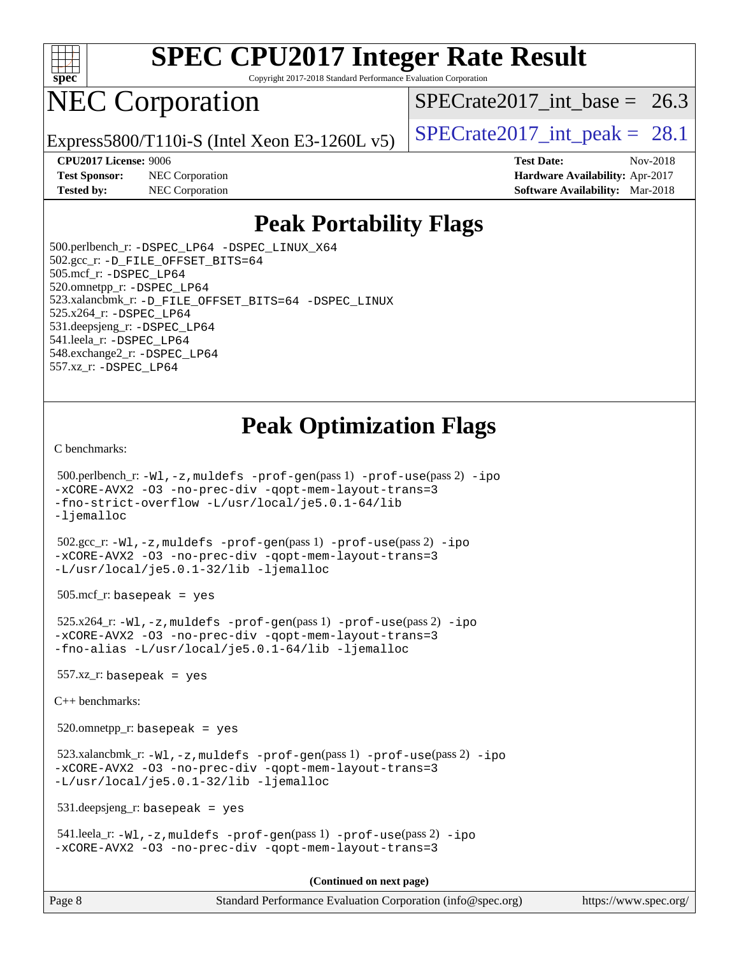

Copyright 2017-2018 Standard Performance Evaluation Corporation

# NEC Corporation

SPECrate2017 int\_base =  $26.3$ 

Express5800/T110i-S (Intel Xeon E3-1260L v5)  $\left|$  [SPECrate2017\\_int\\_peak =](http://www.spec.org/auto/cpu2017/Docs/result-fields.html#SPECrate2017intpeak) 28.1

**[Test Sponsor:](http://www.spec.org/auto/cpu2017/Docs/result-fields.html#TestSponsor)** NEC Corporation **[Hardware Availability:](http://www.spec.org/auto/cpu2017/Docs/result-fields.html#HardwareAvailability)** Apr-2017 **[Tested by:](http://www.spec.org/auto/cpu2017/Docs/result-fields.html#Testedby)** NEC Corporation **[Software Availability:](http://www.spec.org/auto/cpu2017/Docs/result-fields.html#SoftwareAvailability)** Mar-2018

**[CPU2017 License:](http://www.spec.org/auto/cpu2017/Docs/result-fields.html#CPU2017License)** 9006 **[Test Date:](http://www.spec.org/auto/cpu2017/Docs/result-fields.html#TestDate)** Nov-2018

### **[Peak Portability Flags](http://www.spec.org/auto/cpu2017/Docs/result-fields.html#PeakPortabilityFlags)**

 500.perlbench\_r: [-DSPEC\\_LP64](http://www.spec.org/cpu2017/results/res2018q4/cpu2017-20181126-09868.flags.html#b500.perlbench_r_peakPORTABILITY_DSPEC_LP64) [-DSPEC\\_LINUX\\_X64](http://www.spec.org/cpu2017/results/res2018q4/cpu2017-20181126-09868.flags.html#b500.perlbench_r_peakCPORTABILITY_DSPEC_LINUX_X64) 502.gcc\_r: [-D\\_FILE\\_OFFSET\\_BITS=64](http://www.spec.org/cpu2017/results/res2018q4/cpu2017-20181126-09868.flags.html#user_peakPORTABILITY502_gcc_r_file_offset_bits_64_5ae949a99b284ddf4e95728d47cb0843d81b2eb0e18bdfe74bbf0f61d0b064f4bda2f10ea5eb90e1dcab0e84dbc592acfc5018bc955c18609f94ddb8d550002c) 505.mcf\_r: [-DSPEC\\_LP64](http://www.spec.org/cpu2017/results/res2018q4/cpu2017-20181126-09868.flags.html#suite_peakPORTABILITY505_mcf_r_DSPEC_LP64) 520.omnetpp\_r: [-DSPEC\\_LP64](http://www.spec.org/cpu2017/results/res2018q4/cpu2017-20181126-09868.flags.html#suite_peakPORTABILITY520_omnetpp_r_DSPEC_LP64) 523.xalancbmk\_r: [-D\\_FILE\\_OFFSET\\_BITS=64](http://www.spec.org/cpu2017/results/res2018q4/cpu2017-20181126-09868.flags.html#user_peakPORTABILITY523_xalancbmk_r_file_offset_bits_64_5ae949a99b284ddf4e95728d47cb0843d81b2eb0e18bdfe74bbf0f61d0b064f4bda2f10ea5eb90e1dcab0e84dbc592acfc5018bc955c18609f94ddb8d550002c) [-DSPEC\\_LINUX](http://www.spec.org/cpu2017/results/res2018q4/cpu2017-20181126-09868.flags.html#b523.xalancbmk_r_peakCXXPORTABILITY_DSPEC_LINUX) 525.x264\_r: [-DSPEC\\_LP64](http://www.spec.org/cpu2017/results/res2018q4/cpu2017-20181126-09868.flags.html#suite_peakPORTABILITY525_x264_r_DSPEC_LP64) 531.deepsjeng\_r: [-DSPEC\\_LP64](http://www.spec.org/cpu2017/results/res2018q4/cpu2017-20181126-09868.flags.html#suite_peakPORTABILITY531_deepsjeng_r_DSPEC_LP64) 541.leela\_r: [-DSPEC\\_LP64](http://www.spec.org/cpu2017/results/res2018q4/cpu2017-20181126-09868.flags.html#suite_peakPORTABILITY541_leela_r_DSPEC_LP64) 548.exchange2\_r: [-DSPEC\\_LP64](http://www.spec.org/cpu2017/results/res2018q4/cpu2017-20181126-09868.flags.html#suite_peakPORTABILITY548_exchange2_r_DSPEC_LP64) 557.xz\_r: [-DSPEC\\_LP64](http://www.spec.org/cpu2017/results/res2018q4/cpu2017-20181126-09868.flags.html#suite_peakPORTABILITY557_xz_r_DSPEC_LP64)

### **[Peak Optimization Flags](http://www.spec.org/auto/cpu2017/Docs/result-fields.html#PeakOptimizationFlags)**

[C benchmarks](http://www.spec.org/auto/cpu2017/Docs/result-fields.html#Cbenchmarks):

```
 500.perlbench_r: -Wl,-z,muldefs -prof-gen(pass 1) -prof-use(pass 2) -ipo
-xCORE-AVX2 -O3 -no-prec-div -qopt-mem-layout-trans=3
-fno-strict-overflow -L/usr/local/je5.0.1-64/lib
-ljemalloc
 502.gcc_r: -Wl,-z,muldefs -prof-gen(pass 1) -prof-use(pass 2) -ipo
-xCORE-AVX2 -O3 -no-prec-div -qopt-mem-layout-trans=3
-L/usr/local/je5.0.1-32/lib -ljemalloc
 505.mcf_r: basepeak = yes
 525.x264_r: -Wl,-z,muldefs -prof-gen(pass 1) -prof-use(pass 2) -ipo
-xCORE-AVX2 -O3 -no-prec-div -qopt-mem-layout-trans=3
-fno-alias -L/usr/local/je5.0.1-64/lib -ljemalloc
557.xz r: basepeak = yes
C++ benchmarks: 
 520.omnetpp_r: basepeak = yes
 523.xalancbmk_r: -Wl,-z,muldefs -prof-gen(pass 1) -prof-use(pass 2) -ipo
-xCORE-AVX2 -O3 -no-prec-div -qopt-mem-layout-trans=3
-L/usr/local/je5.0.1-32/lib -ljemalloc
 531.deepsjeng_r: basepeak = yes
 541.leela_r: -Wl,-z,muldefs -prof-gen(pass 1) -prof-use(pass 2) -ipo
-xCORE-AVX2 -O3 -no-prec-div -qopt-mem-layout-trans=3
                                       (Continued on next page)
```